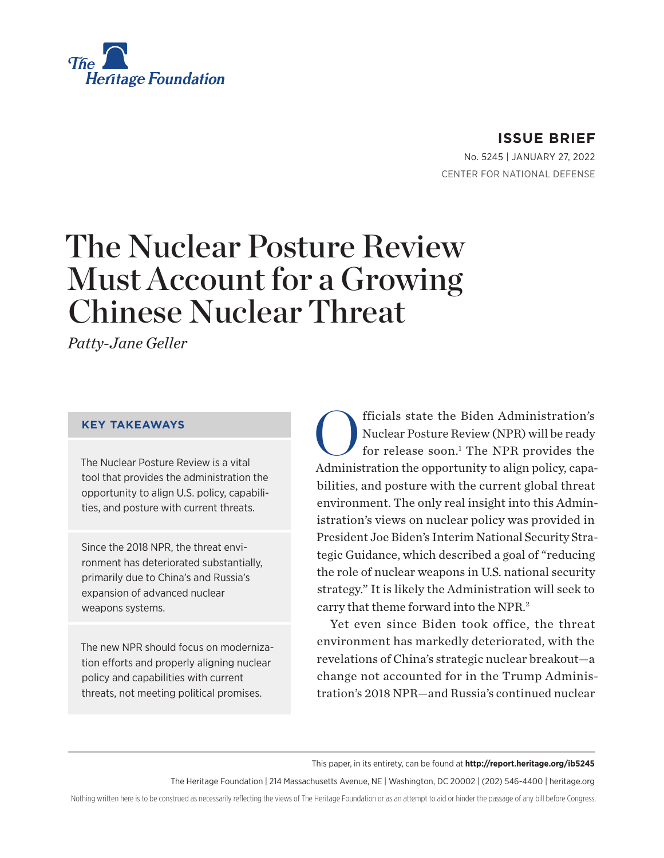<span id="page-0-0"></span>

#### **ISSUE BRIEF**

No. 5245 | January 27, 2022 CENTER FOR NATIONAL DEFENSE

# The Nuclear Posture Review Must Account for a Growing Chinese Nuclear Threat

*Patty-Jane Geller*

#### **KEY TAKEAWAYS**

The Nuclear Posture Review is a vital tool that provides the administration the opportunity to align U.S. policy, capabilities, and posture with current threats.

Since the 2018 NPR, the threat environment has deteriorated substantially, primarily due to China's and Russia's expansion of advanced nuclear weapons systems.

The new NPR should focus on modernization efforts and properly aligning nuclear policy and capabilities with current threats, not meeting political promises.

**CO**fficials state the Biden Administration's<br>Nuclear Posture Review (NPR) will be ready<br>for release soon.<sup>1</sup> The NPR provides the Nuclear Posture Review (NPR) will be ready for release soon.<sup>[1](#page-5-0)</sup> The NPR provides the Administration the opportunity to align policy, capabilities, and posture with the current global threat environment. The only real insight into this Administration's views on nuclear policy was provided in President Joe Biden's Interim National Security Strategic Guidance, which described a goal of "reducing the role of nuclear weapons in U.S. national security strategy." It is likely the Administration will seek to carry that theme forward into the NPR.[2](#page-5-0)

Yet even since Biden took office, the threat environment has markedly deteriorated, with the revelations of China's strategic nuclear breakout—a change not accounted for in the Trump Administration's 2018 NPR—and Russia's continued nuclear

This paper, in its entirety, can be found at **http://report.heritage.org/ib5245**

The Heritage Foundation | 214 Massachusetts Avenue, NE | Washington, DC 20002 | (202) 546-4400 | [heritage.org](http://www.heritage.org)

Nothing written here is to be construed as necessarily reflecting the views of The Heritage Foundation or as an attempt to aid or hinder the passage of any bill before Congress.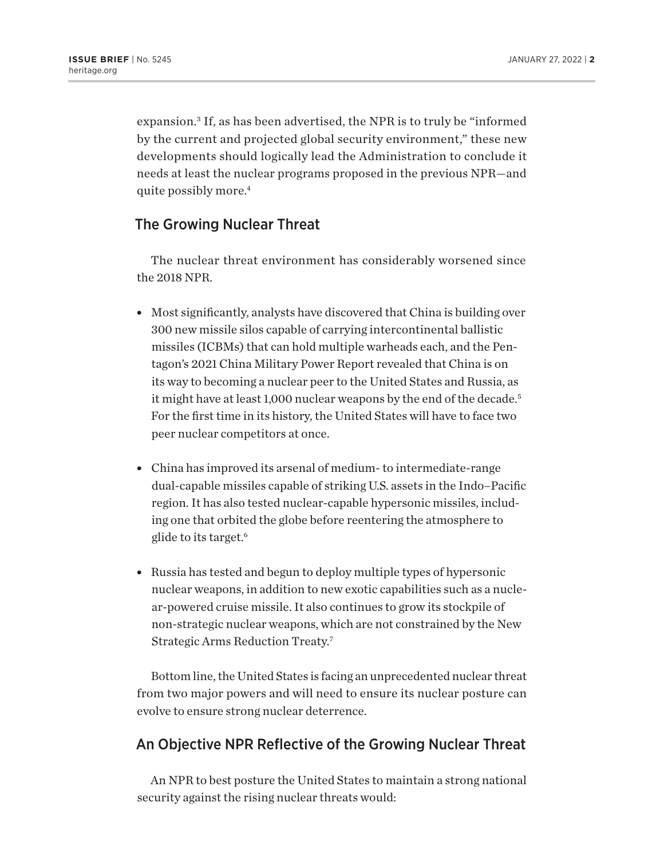<span id="page-1-0"></span>expansion.[3](#page-5-0) If, as has been advertised, the NPR is to truly be "informed by the current and projected global security environment," these new developments should logically lead the Administration to conclude it needs at least the nuclear programs proposed in the previous NPR—and quite possibly more.[4](#page-5-0)

#### The Growing Nuclear Threat

The nuclear threat environment has considerably worsened since the 2018 NPR.

- Most significantly, analysts have discovered that China is building over 300 new missile silos capable of carrying intercontinental ballistic missiles (ICBMs) that can hold multiple warheads each, and the Pentagon's 2021 China Military Power Report revealed that China is on its way to becoming a nuclear peer to the United States and Russia, as it might have at least 1,000 nuclear weapons by the end of the decade.<sup>5</sup> For the first time in its history, the United States will have to face two peer nuclear competitors at once.
- China has improved its arsenal of medium- to intermediate-range dual-capable missiles capable of striking U.S. assets in the Indo–Pacific region. It has also tested nuclear-capable hypersonic missiles, including one that orbited the globe before reentering the atmosphere to glide to its target.[6](#page-5-0)
- Russia has tested and begun to deploy multiple types of hypersonic nuclear weapons, in addition to new exotic capabilities such as a nuclear-powered cruise missile. It also continues to grow its stockpile of non-strategic nuclear weapons, which are not constrained by the New Strategic Arms Reduction Treaty[.7](#page-5-0)

Bottom line, the United States is facing an unprecedented nuclear threat from two major powers and will need to ensure its nuclear posture can evolve to ensure strong nuclear deterrence.

### An Objective NPR Reflective of the Growing Nuclear Threat

An NPR to best posture the United States to maintain a strong national security against the rising nuclear threats would: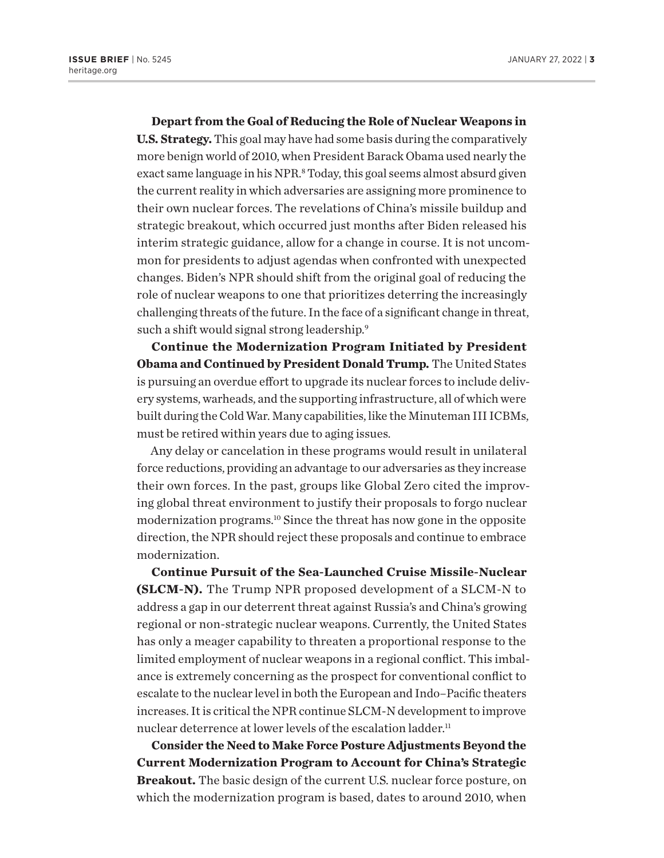<span id="page-2-0"></span>**Depart from the Goal of Reducing the Role of Nuclear Weapons in U.S. Strategy.** This goal may have had some basis during the comparatively more benign world of 2010, when President Barack Obama used nearly the exact same language in his NPR.<sup>8</sup> Today, this goal seems almost absurd given the current reality in which adversaries are assigning more prominence to their own nuclear forces. The revelations of China's missile buildup and strategic breakout, which occurred just months after Biden released his interim strategic guidance, allow for a change in course. It is not uncommon for presidents to adjust agendas when confronted with unexpected changes. Biden's NPR should shift from the original goal of reducing the role of nuclear weapons to one that prioritizes deterring the increasingly challenging threats of the future. In the face of a significant change in threat, such a shift would signal strong leadership.<sup>9</sup>

**Continue the Modernization Program Initiated by President Obama and Continued by President Donald Trump.** The United States is pursuing an overdue effort to upgrade its nuclear forces to include delivery systems, warheads, and the supporting infrastructure, all of which were built during the Cold War. Many capabilities, like the Minuteman III ICBMs, must be retired within years due to aging issues.

Any delay or cancelation in these programs would result in unilateral force reductions, providing an advantage to our adversaries as they increase their own forces. In the past, groups like Global Zero cited the improving global threat environment to justify their proposals to forgo nuclear modernization programs.[10](#page-5-0) Since the threat has now gone in the opposite direction, the NPR should reject these proposals and continue to embrace modernization.

**Continue Pursuit of the Sea-Launched Cruise Missile-Nuclear (SLCM-N).** The Trump NPR proposed development of a SLCM-N to address a gap in our deterrent threat against Russia's and China's growing regional or non-strategic nuclear weapons. Currently, the United States has only a meager capability to threaten a proportional response to the limited employment of nuclear weapons in a regional conflict. This imbalance is extremely concerning as the prospect for conventional conflict to escalate to the nuclear level in both the European and Indo–Pacific theaters increases. It is critical the NPR continue SLCM-N development to improve nuclear deterrence at lower levels of the escalation ladder.<sup>11</sup>

**Consider the Need to Make Force Posture Adjustments Beyond the Current Modernization Program to Account for China's Strategic Breakout.** The basic design of the current U.S. nuclear force posture, on which the modernization program is based, dates to around 2010, when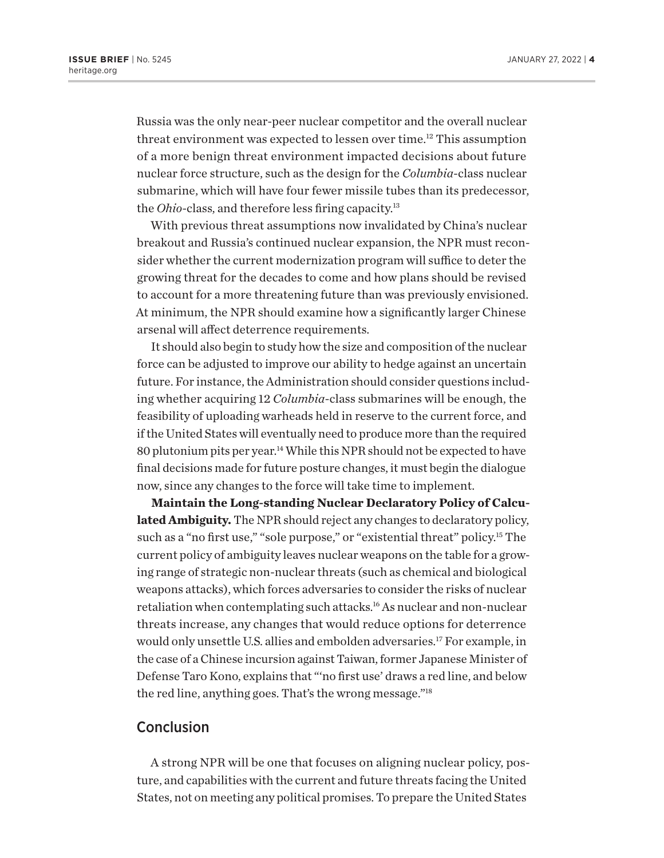<span id="page-3-0"></span>Russia was the only near-peer nuclear competitor and the overall nuclear threat environment was expected to lessen over time[.12](#page-5-0) This assumption of a more benign threat environment impacted decisions about future nuclear force structure, such as the design for the *Columbia*-class nuclear submarine, which will have four fewer missile tubes than its predecessor, the *Ohio*-class, and therefore less firing capacity.<sup>13</sup>

With previous threat assumptions now invalidated by China's nuclear breakout and Russia's continued nuclear expansion, the NPR must reconsider whether the current modernization program will suffice to deter the growing threat for the decades to come and how plans should be revised to account for a more threatening future than was previously envisioned. At minimum, the NPR should examine how a significantly larger Chinese arsenal will affect deterrence requirements.

It should also begin to study how the size and composition of the nuclear force can be adjusted to improve our ability to hedge against an uncertain future. For instance, the Administration should consider questions including whether acquiring 12 *Columbia*-class submarines will be enough, the feasibility of uploading warheads held in reserve to the current force, and if the United States will eventually need to produce more than the required 80 plutonium pits per year[.14](#page-5-0) While this NPR should not be expected to have final decisions made for future posture changes, it must begin the dialogue now, since any changes to the force will take time to implement.

**Maintain the Long-standing Nuclear Declaratory Policy of Calculated Ambiguity.** The NPR should reject any changes to declaratory policy, such as a "no first use," "sole purpose," or "existential threat" policy.<sup>15</sup> The current policy of ambiguity leaves nuclear weapons on the table for a growing range of strategic non-nuclear threats (such as chemical and biological weapons attacks), which forces adversaries to consider the risks of nuclear retaliation when contemplating such attacks[.16](#page-5-0) As nuclear and non-nuclear threats increase, any changes that would reduce options for deterrence would only unsettle U.S. allies and embolden adversaries.[17](#page-5-0) For example, in the case of a Chinese incursion against Taiwan, former Japanese Minister of Defense Taro Kono, explains that "'no first use' draws a red line, and below the red line, anything goes. That's the wrong message.["18](#page-5-0)

#### Conclusion

A strong NPR will be one that focuses on aligning nuclear policy, posture, and capabilities with the current and future threats facing the United States, not on meeting any political promises. To prepare the United States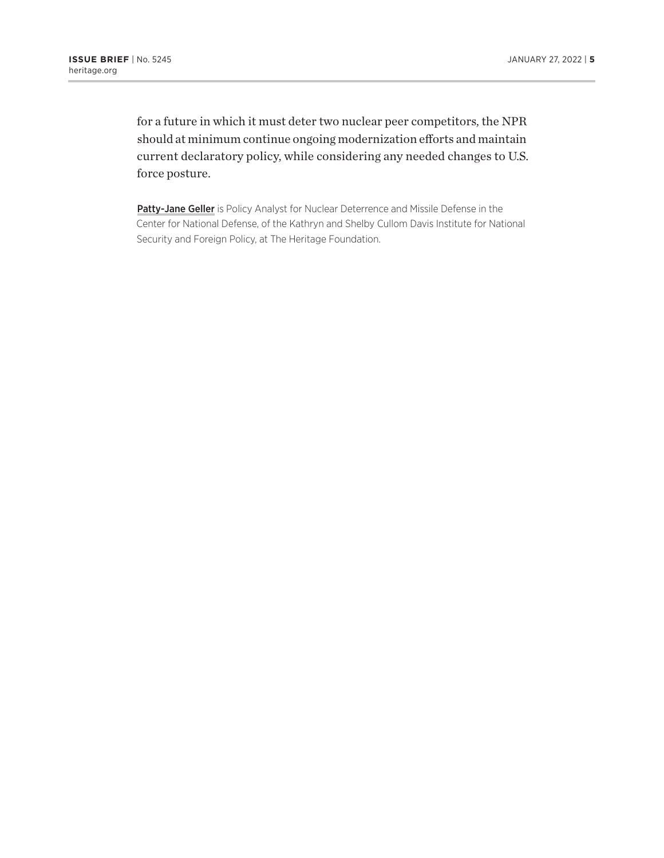for a future in which it must deter two nuclear peer competitors, the NPR should at minimum continue ongoing modernization efforts and maintain current declaratory policy, while considering any needed changes to U.S. force posture.

Patty-Jane Geller is Policy Analyst for Nuclear Deterrence and Missile Defense in the Center for National Defense, of the Kathryn and Shelby Cullom Davis Institute for National Security and Foreign Policy, at The Heritage Foundation.